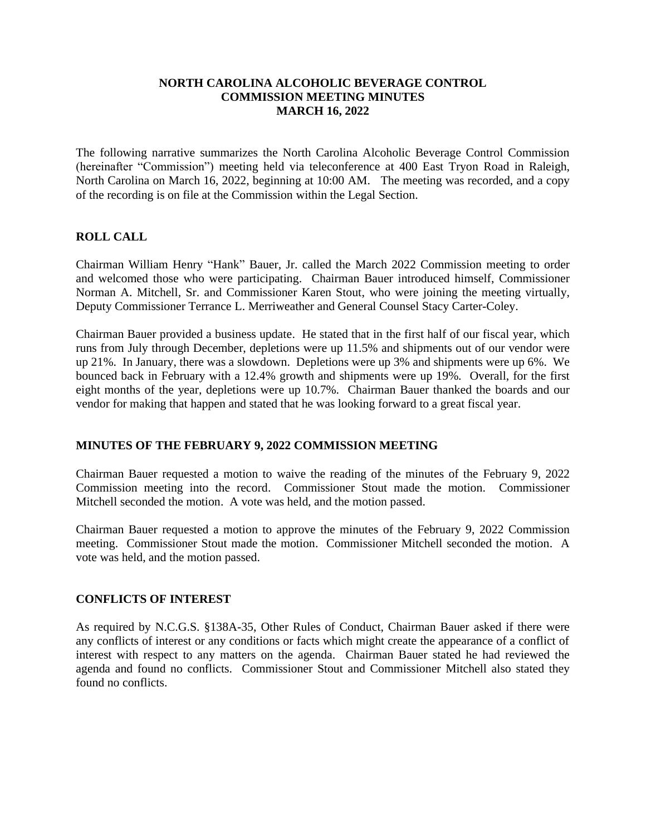#### **NORTH CAROLINA ALCOHOLIC BEVERAGE CONTROL COMMISSION MEETING MINUTES MARCH 16, 2022**

The following narrative summarizes the North Carolina Alcoholic Beverage Control Commission (hereinafter "Commission") meeting held via teleconference at 400 East Tryon Road in Raleigh, North Carolina on March 16, 2022, beginning at 10:00 AM. The meeting was recorded, and a copy of the recording is on file at the Commission within the Legal Section.

## **ROLL CALL**

Chairman William Henry "Hank" Bauer, Jr. called the March 2022 Commission meeting to order and welcomed those who were participating. Chairman Bauer introduced himself, Commissioner Norman A. Mitchell, Sr. and Commissioner Karen Stout, who were joining the meeting virtually, Deputy Commissioner Terrance L. Merriweather and General Counsel Stacy Carter-Coley.

Chairman Bauer provided a business update. He stated that in the first half of our fiscal year, which runs from July through December, depletions were up 11.5% and shipments out of our vendor were up 21%. In January, there was a slowdown. Depletions were up 3% and shipments were up 6%. We bounced back in February with a 12.4% growth and shipments were up 19%. Overall, for the first eight months of the year, depletions were up 10.7%. Chairman Bauer thanked the boards and our vendor for making that happen and stated that he was looking forward to a great fiscal year.

#### **MINUTES OF THE FEBRUARY 9, 2022 COMMISSION MEETING**

Chairman Bauer requested a motion to waive the reading of the minutes of the February 9, 2022 Commission meeting into the record. Commissioner Stout made the motion. Commissioner Mitchell seconded the motion. A vote was held, and the motion passed.

Chairman Bauer requested a motion to approve the minutes of the February 9, 2022 Commission meeting. Commissioner Stout made the motion. Commissioner Mitchell seconded the motion. A vote was held, and the motion passed.

#### **CONFLICTS OF INTEREST**

As required by N.C.G.S. §138A-35, Other Rules of Conduct, Chairman Bauer asked if there were any conflicts of interest or any conditions or facts which might create the appearance of a conflict of interest with respect to any matters on the agenda. Chairman Bauer stated he had reviewed the agenda and found no conflicts. Commissioner Stout and Commissioner Mitchell also stated they found no conflicts.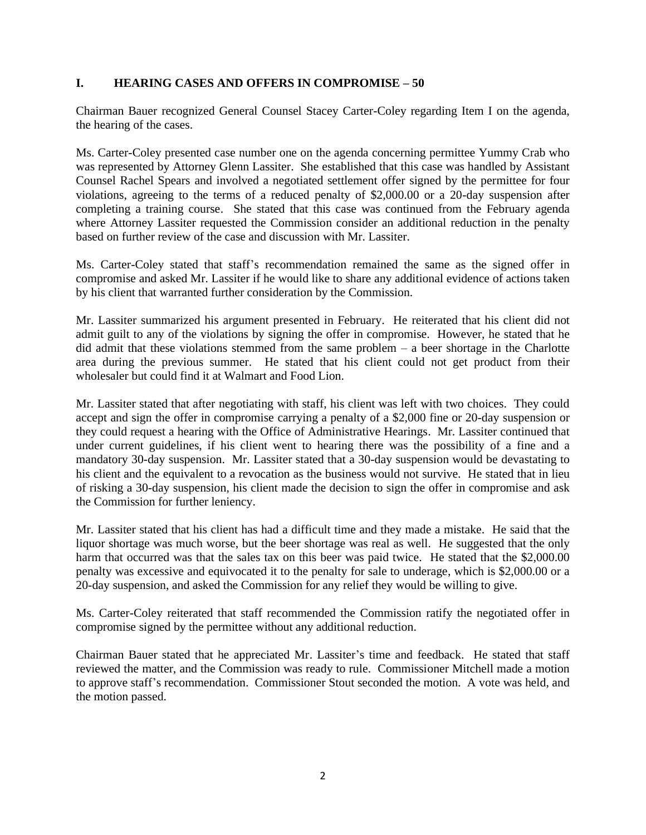## **I. HEARING CASES AND OFFERS IN COMPROMISE – 50**

Chairman Bauer recognized General Counsel Stacey Carter-Coley regarding Item I on the agenda, the hearing of the cases.

Ms. Carter-Coley presented case number one on the agenda concerning permittee Yummy Crab who was represented by Attorney Glenn Lassiter. She established that this case was handled by Assistant Counsel Rachel Spears and involved a negotiated settlement offer signed by the permittee for four violations, agreeing to the terms of a reduced penalty of \$2,000.00 or a 20-day suspension after completing a training course. She stated that this case was continued from the February agenda where Attorney Lassiter requested the Commission consider an additional reduction in the penalty based on further review of the case and discussion with Mr. Lassiter.

Ms. Carter-Coley stated that staff's recommendation remained the same as the signed offer in compromise and asked Mr. Lassiter if he would like to share any additional evidence of actions taken by his client that warranted further consideration by the Commission.

Mr. Lassiter summarized his argument presented in February. He reiterated that his client did not admit guilt to any of the violations by signing the offer in compromise. However, he stated that he did admit that these violations stemmed from the same problem – a beer shortage in the Charlotte area during the previous summer. He stated that his client could not get product from their wholesaler but could find it at Walmart and Food Lion.

Mr. Lassiter stated that after negotiating with staff, his client was left with two choices. They could accept and sign the offer in compromise carrying a penalty of a \$2,000 fine or 20-day suspension or they could request a hearing with the Office of Administrative Hearings. Mr. Lassiter continued that under current guidelines, if his client went to hearing there was the possibility of a fine and a mandatory 30-day suspension. Mr. Lassiter stated that a 30-day suspension would be devastating to his client and the equivalent to a revocation as the business would not survive. He stated that in lieu of risking a 30-day suspension, his client made the decision to sign the offer in compromise and ask the Commission for further leniency.

Mr. Lassiter stated that his client has had a difficult time and they made a mistake. He said that the liquor shortage was much worse, but the beer shortage was real as well. He suggested that the only harm that occurred was that the sales tax on this beer was paid twice. He stated that the \$2,000.00 penalty was excessive and equivocated it to the penalty for sale to underage, which is \$2,000.00 or a 20-day suspension, and asked the Commission for any relief they would be willing to give.

Ms. Carter-Coley reiterated that staff recommended the Commission ratify the negotiated offer in compromise signed by the permittee without any additional reduction.

Chairman Bauer stated that he appreciated Mr. Lassiter's time and feedback. He stated that staff reviewed the matter, and the Commission was ready to rule. Commissioner Mitchell made a motion to approve staff's recommendation. Commissioner Stout seconded the motion. A vote was held, and the motion passed.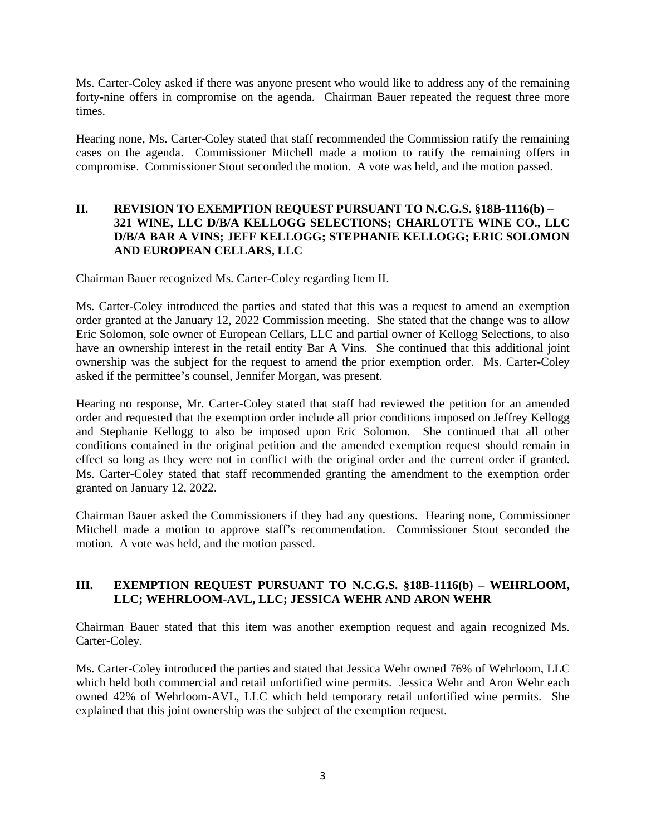Ms. Carter-Coley asked if there was anyone present who would like to address any of the remaining forty-nine offers in compromise on the agenda. Chairman Bauer repeated the request three more times.

Hearing none, Ms. Carter-Coley stated that staff recommended the Commission ratify the remaining cases on the agenda. Commissioner Mitchell made a motion to ratify the remaining offers in compromise. Commissioner Stout seconded the motion. A vote was held, and the motion passed.

## **II. REVISION TO EXEMPTION REQUEST PURSUANT TO N.C.G.S. §18B-1116(b) – 321 WINE, LLC D/B/A KELLOGG SELECTIONS; CHARLOTTE WINE CO., LLC D/B/A BAR A VINS; JEFF KELLOGG; STEPHANIE KELLOGG; ERIC SOLOMON AND EUROPEAN CELLARS, LLC**

Chairman Bauer recognized Ms. Carter-Coley regarding Item II.

Ms. Carter-Coley introduced the parties and stated that this was a request to amend an exemption order granted at the January 12, 2022 Commission meeting. She stated that the change was to allow Eric Solomon, sole owner of European Cellars, LLC and partial owner of Kellogg Selections, to also have an ownership interest in the retail entity Bar A Vins. She continued that this additional joint ownership was the subject for the request to amend the prior exemption order. Ms. Carter-Coley asked if the permittee's counsel, Jennifer Morgan, was present.

Hearing no response, Mr. Carter-Coley stated that staff had reviewed the petition for an amended order and requested that the exemption order include all prior conditions imposed on Jeffrey Kellogg and Stephanie Kellogg to also be imposed upon Eric Solomon. She continued that all other conditions contained in the original petition and the amended exemption request should remain in effect so long as they were not in conflict with the original order and the current order if granted. Ms. Carter-Coley stated that staff recommended granting the amendment to the exemption order granted on January 12, 2022.

Chairman Bauer asked the Commissioners if they had any questions. Hearing none, Commissioner Mitchell made a motion to approve staff's recommendation. Commissioner Stout seconded the motion. A vote was held, and the motion passed.

## **III. EXEMPTION REQUEST PURSUANT TO N.C.G.S. §18B-1116(b) – WEHRLOOM, LLC; WEHRLOOM-AVL, LLC; JESSICA WEHR AND ARON WEHR**

Chairman Bauer stated that this item was another exemption request and again recognized Ms. Carter-Coley.

Ms. Carter-Coley introduced the parties and stated that Jessica Wehr owned 76% of Wehrloom, LLC which held both commercial and retail unfortified wine permits. Jessica Wehr and Aron Wehr each owned 42% of Wehrloom-AVL, LLC which held temporary retail unfortified wine permits. She explained that this joint ownership was the subject of the exemption request.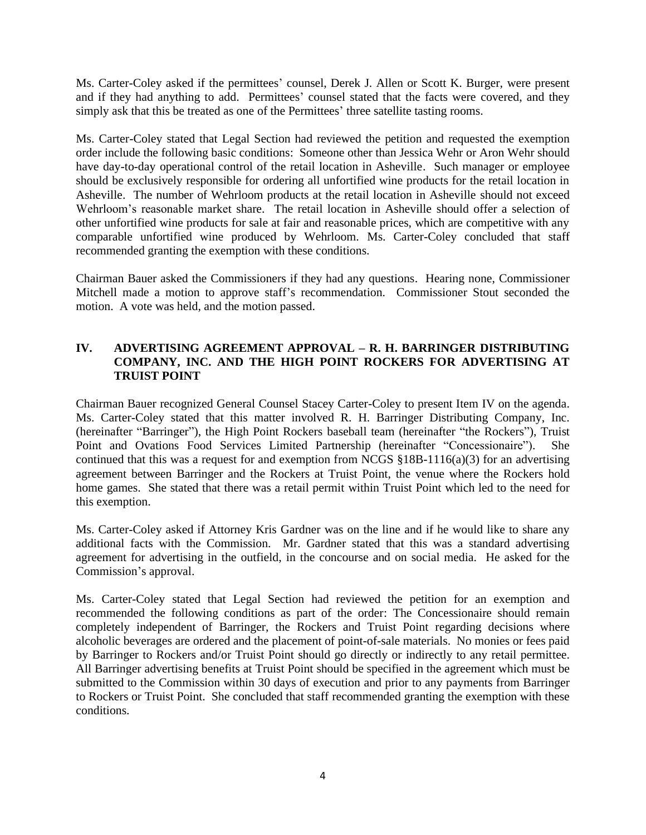Ms. Carter-Coley asked if the permittees' counsel, Derek J. Allen or Scott K. Burger, were present and if they had anything to add. Permittees' counsel stated that the facts were covered, and they simply ask that this be treated as one of the Permittees' three satellite tasting rooms.

Ms. Carter-Coley stated that Legal Section had reviewed the petition and requested the exemption order include the following basic conditions: Someone other than Jessica Wehr or Aron Wehr should have day-to-day operational control of the retail location in Asheville. Such manager or employee should be exclusively responsible for ordering all unfortified wine products for the retail location in Asheville. The number of Wehrloom products at the retail location in Asheville should not exceed Wehrloom's reasonable market share. The retail location in Asheville should offer a selection of other unfortified wine products for sale at fair and reasonable prices, which are competitive with any comparable unfortified wine produced by Wehrloom. Ms. Carter-Coley concluded that staff recommended granting the exemption with these conditions.

Chairman Bauer asked the Commissioners if they had any questions. Hearing none, Commissioner Mitchell made a motion to approve staff's recommendation. Commissioner Stout seconded the motion. A vote was held, and the motion passed.

## **IV. ADVERTISING AGREEMENT APPROVAL – R. H. BARRINGER DISTRIBUTING COMPANY, INC. AND THE HIGH POINT ROCKERS FOR ADVERTISING AT TRUIST POINT**

Chairman Bauer recognized General Counsel Stacey Carter-Coley to present Item IV on the agenda. Ms. Carter-Coley stated that this matter involved R. H. Barringer Distributing Company, Inc. (hereinafter "Barringer"), the High Point Rockers baseball team (hereinafter "the Rockers"), Truist Point and Ovations Food Services Limited Partnership (hereinafter "Concessionaire"). She continued that this was a request for and exemption from NCGS §18B-1116(a)(3) for an advertising agreement between Barringer and the Rockers at Truist Point, the venue where the Rockers hold home games. She stated that there was a retail permit within Truist Point which led to the need for this exemption.

Ms. Carter-Coley asked if Attorney Kris Gardner was on the line and if he would like to share any additional facts with the Commission. Mr. Gardner stated that this was a standard advertising agreement for advertising in the outfield, in the concourse and on social media. He asked for the Commission's approval.

Ms. Carter-Coley stated that Legal Section had reviewed the petition for an exemption and recommended the following conditions as part of the order: The Concessionaire should remain completely independent of Barringer, the Rockers and Truist Point regarding decisions where alcoholic beverages are ordered and the placement of point-of-sale materials. No monies or fees paid by Barringer to Rockers and/or Truist Point should go directly or indirectly to any retail permittee. All Barringer advertising benefits at Truist Point should be specified in the agreement which must be submitted to the Commission within 30 days of execution and prior to any payments from Barringer to Rockers or Truist Point. She concluded that staff recommended granting the exemption with these conditions.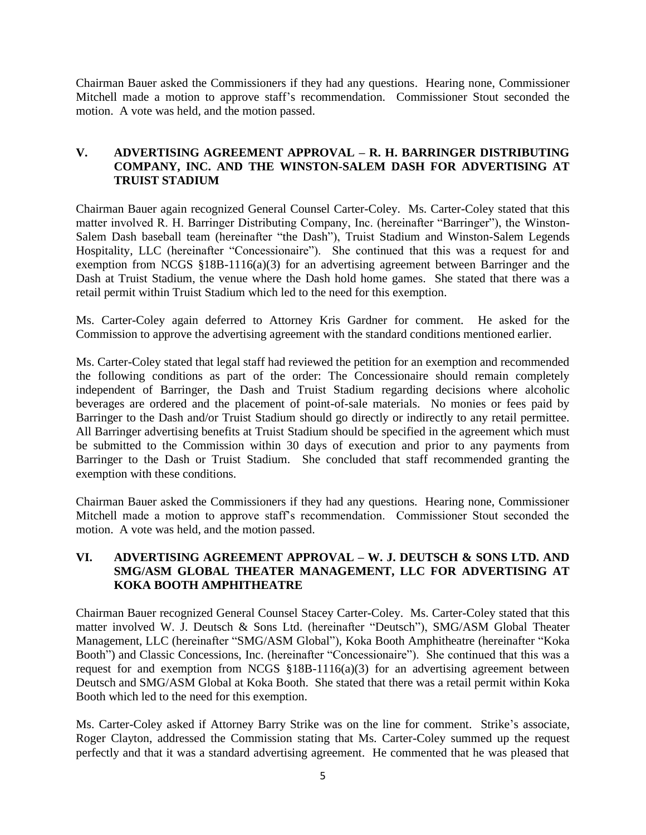Chairman Bauer asked the Commissioners if they had any questions. Hearing none, Commissioner Mitchell made a motion to approve staff's recommendation. Commissioner Stout seconded the motion. A vote was held, and the motion passed.

## **V. ADVERTISING AGREEMENT APPROVAL – R. H. BARRINGER DISTRIBUTING COMPANY, INC. AND THE WINSTON-SALEM DASH FOR ADVERTISING AT TRUIST STADIUM**

Chairman Bauer again recognized General Counsel Carter-Coley. Ms. Carter-Coley stated that this matter involved R. H. Barringer Distributing Company, Inc. (hereinafter "Barringer"), the Winston-Salem Dash baseball team (hereinafter "the Dash"), Truist Stadium and Winston-Salem Legends Hospitality, LLC (hereinafter "Concessionaire"). She continued that this was a request for and exemption from NCGS §18B-1116(a)(3) for an advertising agreement between Barringer and the Dash at Truist Stadium, the venue where the Dash hold home games. She stated that there was a retail permit within Truist Stadium which led to the need for this exemption.

Ms. Carter-Coley again deferred to Attorney Kris Gardner for comment. He asked for the Commission to approve the advertising agreement with the standard conditions mentioned earlier.

Ms. Carter-Coley stated that legal staff had reviewed the petition for an exemption and recommended the following conditions as part of the order: The Concessionaire should remain completely independent of Barringer, the Dash and Truist Stadium regarding decisions where alcoholic beverages are ordered and the placement of point-of-sale materials. No monies or fees paid by Barringer to the Dash and/or Truist Stadium should go directly or indirectly to any retail permittee. All Barringer advertising benefits at Truist Stadium should be specified in the agreement which must be submitted to the Commission within 30 days of execution and prior to any payments from Barringer to the Dash or Truist Stadium. She concluded that staff recommended granting the exemption with these conditions.

Chairman Bauer asked the Commissioners if they had any questions. Hearing none, Commissioner Mitchell made a motion to approve staff's recommendation. Commissioner Stout seconded the motion. A vote was held, and the motion passed.

#### **VI. ADVERTISING AGREEMENT APPROVAL – W. J. DEUTSCH & SONS LTD. AND SMG/ASM GLOBAL THEATER MANAGEMENT, LLC FOR ADVERTISING AT KOKA BOOTH AMPHITHEATRE**

Chairman Bauer recognized General Counsel Stacey Carter-Coley. Ms. Carter-Coley stated that this matter involved W. J. Deutsch & Sons Ltd. (hereinafter "Deutsch"), SMG/ASM Global Theater Management, LLC (hereinafter "SMG/ASM Global"), Koka Booth Amphitheatre (hereinafter "Koka Booth") and Classic Concessions, Inc. (hereinafter "Concessionaire"). She continued that this was a request for and exemption from NCGS §18B-1116(a)(3) for an advertising agreement between Deutsch and SMG/ASM Global at Koka Booth. She stated that there was a retail permit within Koka Booth which led to the need for this exemption.

Ms. Carter-Coley asked if Attorney Barry Strike was on the line for comment. Strike's associate, Roger Clayton, addressed the Commission stating that Ms. Carter-Coley summed up the request perfectly and that it was a standard advertising agreement. He commented that he was pleased that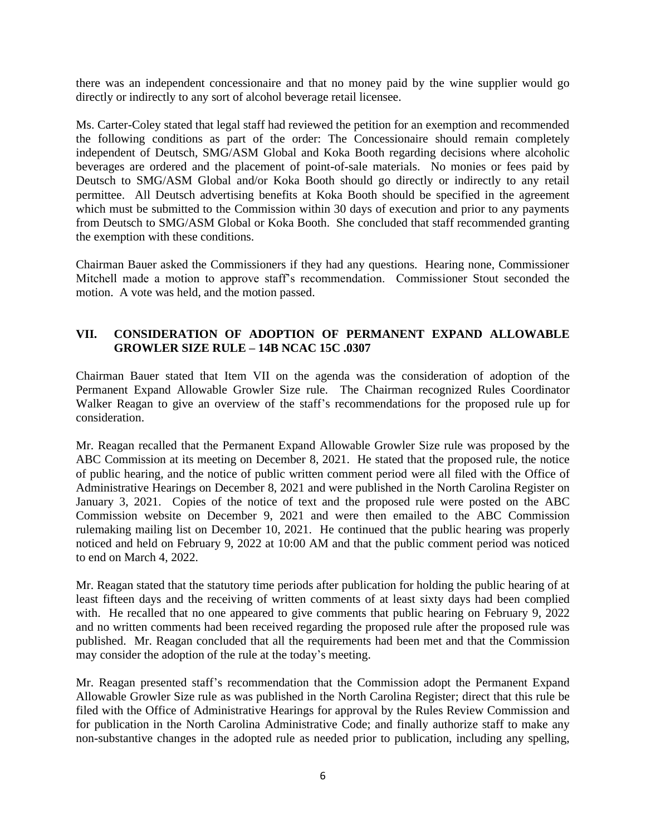there was an independent concessionaire and that no money paid by the wine supplier would go directly or indirectly to any sort of alcohol beverage retail licensee.

Ms. Carter-Coley stated that legal staff had reviewed the petition for an exemption and recommended the following conditions as part of the order: The Concessionaire should remain completely independent of Deutsch, SMG/ASM Global and Koka Booth regarding decisions where alcoholic beverages are ordered and the placement of point-of-sale materials. No monies or fees paid by Deutsch to SMG/ASM Global and/or Koka Booth should go directly or indirectly to any retail permittee. All Deutsch advertising benefits at Koka Booth should be specified in the agreement which must be submitted to the Commission within 30 days of execution and prior to any payments from Deutsch to SMG/ASM Global or Koka Booth. She concluded that staff recommended granting the exemption with these conditions.

Chairman Bauer asked the Commissioners if they had any questions. Hearing none, Commissioner Mitchell made a motion to approve staff's recommendation. Commissioner Stout seconded the motion. A vote was held, and the motion passed.

## **VII. CONSIDERATION OF ADOPTION OF PERMANENT EXPAND ALLOWABLE GROWLER SIZE RULE – 14B NCAC 15C .0307**

Chairman Bauer stated that Item VII on the agenda was the consideration of adoption of the Permanent Expand Allowable Growler Size rule. The Chairman recognized Rules Coordinator Walker Reagan to give an overview of the staff's recommendations for the proposed rule up for consideration.

Mr. Reagan recalled that the Permanent Expand Allowable Growler Size rule was proposed by the ABC Commission at its meeting on December 8, 2021. He stated that the proposed rule, the notice of public hearing, and the notice of public written comment period were all filed with the Office of Administrative Hearings on December 8, 2021 and were published in the North Carolina Register on January 3, 2021. Copies of the notice of text and the proposed rule were posted on the ABC Commission website on December 9, 2021 and were then emailed to the ABC Commission rulemaking mailing list on December 10, 2021. He continued that the public hearing was properly noticed and held on February 9, 2022 at 10:00 AM and that the public comment period was noticed to end on March 4, 2022.

Mr. Reagan stated that the statutory time periods after publication for holding the public hearing of at least fifteen days and the receiving of written comments of at least sixty days had been complied with. He recalled that no one appeared to give comments that public hearing on February 9, 2022 and no written comments had been received regarding the proposed rule after the proposed rule was published. Mr. Reagan concluded that all the requirements had been met and that the Commission may consider the adoption of the rule at the today's meeting.

Mr. Reagan presented staff's recommendation that the Commission adopt the Permanent Expand Allowable Growler Size rule as was published in the North Carolina Register; direct that this rule be filed with the Office of Administrative Hearings for approval by the Rules Review Commission and for publication in the North Carolina Administrative Code; and finally authorize staff to make any non-substantive changes in the adopted rule as needed prior to publication, including any spelling,